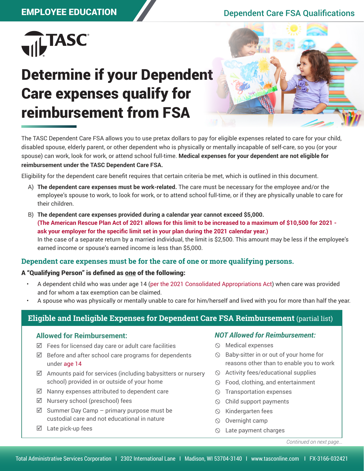## EMPLOYEE EDUCATION Dependent Care FSA Qualifications



# Determine if your Dependent Care expenses qualify for reimbursement from FSA



The TASC Dependent Care FSA allows you to use pretax dollars to pay for eligible expenses related to care for your child, disabled spouse, elderly parent, or other dependent who is physically or mentally incapable of self-care, so you (or your spouse) can work, look for work, or attend school full-time. **Medical expenses for your dependent are not eligible for reimbursement under the TASC Dependent Care FSA.**

Eligibility for the dependent care benefit requires that certain criteria be met, which is outlined in this document.

- A) **The dependent care expenses must be work-related.** The care must be necessary for the employee and/or the employee's spouse to work, to look for work, or to attend school full-time, or if they are physically unable to care for their children.
- B) **The dependent care expenses provided during a calendar year cannot exceed \$5,000. (The American Rescue Plan Act of 2021 allows for this limit to be increased to a maximum of \$10,500 for 2021 ask your employer for the specific limit set in your plan during the 2021 calendar year.)**  In the case of a separate return by a married individual, the limit is \$2,500. This amount may be less if the employee's earned income or spouse's earned income is less than \$5,000.

### **Dependent care expenses must be for the care of one or more qualifying persons.**

#### A "Qualifying Person" is defined as one of the following:

- A dependent child who was under age 14 (per the 2021 Consolidated Appropriations Act) when care was provided and for whom a tax exemption can be claimed.
- A spouse who was physically or mentally unable to care for him/herself and lived with you for more than half the year.

## **Eligible and Ineligible Expenses for Dependent Care FSA Reimbursement** (partial list)

#### **Allowed for Reimbursement:**

- $\boxtimes$  Fees for licensed day care or adult care facilities
- $\boxtimes$  Before and after school care programs for dependents under age 14
- $\boxtimes$  Amounts paid for services (including babysitters or nursery school) provided in or outside of your home
- $\boxtimes$  Nanny expenses attributed to dependent care
- $\boxtimes$  Nursery school (preschool) fees
- $\boxtimes$  Summer Day Camp primary purpose must be custodial care and not educational in nature
- $\boxtimes$  Late pick-up fees

#### *NOT Allowed for Reimbursement:*

- $\circledcirc$  Medical expenses
- $\circledcirc$  Baby-sitter in or out of your home for reasons other than to enable you to work
- $\Diamond$  Activity fees/educational supplies
- Food, clothing, and entertainment
- $\circledcirc$  Transportation expenses
- $\circledcirc$  Child support payments
- $\circledcirc$  Kindergarten fees
- $\circledcirc$  Overnight camp
- $\circledcirc$  Late payment charges

*Continued on next page...*